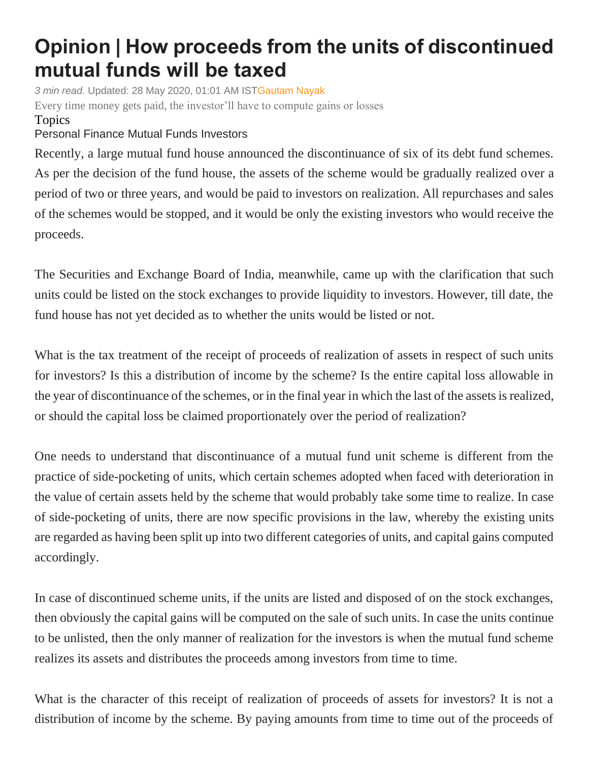## **Opinion | How proceeds from the units of discontinued mutual funds will be taxed**

*3 min read.* Updated: 28 May 2020, 01:01 AM IS[TGautam Nayak](https://www.livemint.com/Search/Link/Author/Gautam%20Nayak) Every time money gets paid, the investor'll have to compute gains or losses Topics

[Personal](https://www.livemint.com/topic/personal-finance) Finance [Mutual Funds](https://www.livemint.com/topic/mutual-funds) [Investors](https://www.livemint.com/topic/investors)

Recently, a large mutual fund house announced the discontinuance of six of its debt fund schemes. As per the decision of the fund house, the assets of the scheme would be gradually realized over a period of two or three years, and would be paid to investors on realization. All repurchases and sales of the schemes would be stopped, and it would be only the existing investors who would receive the proceeds.

The Securities and Exchange Board of India, meanwhile, came up with the clarification that such units could be listed on the stock exchanges to provide liquidity to investors. However, till date, the fund house has not yet decided as to whether the units would be listed or not.

What is the tax treatment of the receipt of proceeds of realization of assets in respect of such units for investors? Is this a distribution of income by the scheme? Is the entire capital loss allowable in the year of discontinuance of the schemes, or in the final year in which the last of the assets is realized, or should the capital loss be claimed proportionately over the period of realization?

One needs to understand that discontinuance of a mutual fund unit scheme is different from the practice of side-pocketing of units, which certain schemes adopted when faced with deterioration in the value of certain assets held by the scheme that would probably take some time to realize. In case of side-pocketing of units, there are now specific provisions in the law, whereby the existing units are regarded as having been split up into two different categories of units, and capital gains computed accordingly.

In case of discontinued scheme units, if the units are listed and disposed of on the stock exchanges, then obviously the capital gains will be computed on the sale of such units. In case the units continue to be unlisted, then the only manner of realization for the investors is when the mutual fund scheme realizes its assets and distributes the proceeds among investors from time to time.

What is the character of this receipt of realization of proceeds of assets for investors? It is not a distribution of income by the scheme. By paying amounts from time to time out of the proceeds of